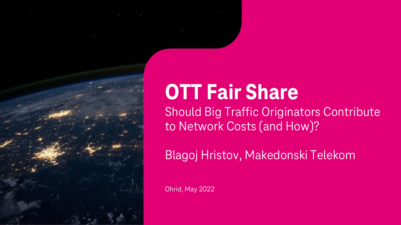# **OTT Fair Share**

Should Big Traffic Originators Contribute to Network Costs (and How)?

Blagoj Hristov, Makedonski Telekom

Ohrid, May 2022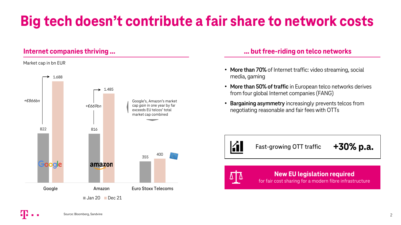# **Big tech doesn't contribute a fair share to network costs**

# **Internet companies thriving ...**

### Market cap in bn EUR



# **… but free-riding on telco networks**

- **More than 70%** of Internet traffic: video streaming, social media, gaming
- **More than 50% of traffic** in European telco networks derives from four global Internet companies (FANG)
- **Bargaining asymmetry** increasingly prevents telcos from negotiating reasonable and fair fees with OTTs



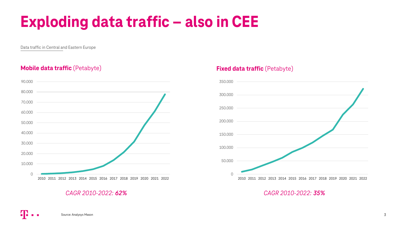# **Exploding data traffic – also in CEE**

Data traffic in Central and Eastern Europe

# **Mobile data traffic** (Petabyte) **Fixed data traffic** (Petabyte)





# *CAGR 2010-2022: 62% CAGR 2010-2022: 35%*

Source: Analysys Mason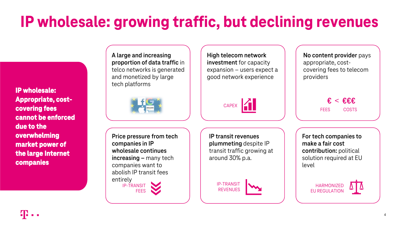# **IP wholesale: growing traffic, but declining revenues**

**IP wholesale: Appropriate, costcovering fees cannot be enforced due to the overwhelming market power of the large Internet companies**

**A large and increasing proportion of data traffic** in telco networks is generated and monetized by large tech platforms



**Price pressure from tech companies in IP wholesale continues increasing –** many tech companies want to abolish IP transit fees entirely IP-TRANSIT FEES

**IP transit revenues plummeting** despite IP transit traffic growing at around 30% p.a.

CAPEX **1** 

**High telecom network investment** for capacity expansion – users expect a good network experience



**No content provider** pays appropriate, costcovering fees to telecom providers

> **€** < **€€€** FEES COSTS

**For tech companies to make a fair cost contribution:** political solution required at EU level

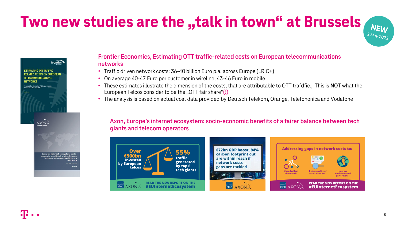# **Two new studies are the "talk in town" at Brussels NEW**



# **Frontier Economics, Estimating OTT traffic-related costs on European telecommunications networks**

- Traffic driven network costs: 36-40 billion Euro p.a. across Europe (LRIC+)
- On average 40-47 Euro per customer in wireline, 43-46 Euro in mobile
- These estimates illustrate the dimension of the costs, that are attributable to OTT trafdfic., This is **NOT** what the European Telcos consider to be the "OTT fair share"(!)
- The analysis is based on actual cost data provided by Deutsch Telekom, Orange, Telefononica and Vodafone

### **Axon, Europe's internet ecosystem: socio-economic benefits of a fairer balance between tech giants and telecom operators**

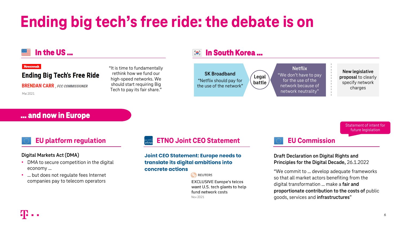# **Ending big tech's free ride: the debate is on**

# **In the US …**

### **Newsweek**

# **Ending Big Tech's Free Ride**

**BRENDAN CARR**, FCC COMMISSIONER

Mai 2021

"It is time to fundamentally rethink how we fund our high-speed networks. We should start requiring Big Tech to pay its fair share."

### **In South Korea …**   $\sum_{n=1}^{\infty}$



# **… and now in Europe**

### **Digital Markets Act (DMA)**

- DMA to secure competition in the digital economy …
- ... but does not requiate fees Internet companies pay to telecom operators

# **EU platform regulation ETNO Joint CEO Statement**

### Joint CEO Statement: Europe needs to translate its digital ambitions into concrete actions

**O** REUTERS

**EXCLUSIVE Europe's telcos** want U.S. tech giants to help fund network costs Nov 2021

# **EU Commission**

**Draft Declaration on Digital Rights and Principles for the Digital Decade,** 26.1.2022

"We commit to … develop adequate frameworks so that all market actors benefiting from the digital transformation … make a **fair and proportionate contribution to the costs of** public goods, services and **infrastructures**"

Statement of intent for future legislation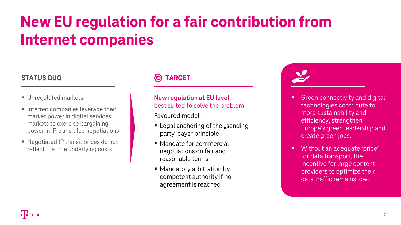# **New EU regulation for a fair contribution from Internet companies**

# **STATUS QUO TARGET**

- Unregulated markets
- Internet companies leverage their market power in digital services markets to exercise bargaining power in IP transit fee negotiations
- Negotiated IP transit prices do not reflect the true underlying costs

# **New regulation at EU level** best suited to solve the problem

Favoured model:

- $\blacksquare$  Legal anchoring of the "sendingparty-pays" principle
- Mandate for commercial negotiations on fair and reasonable terms
- Mandatory arbitration by competent authority if no agreement is reached

- Green connectivity and digital technologies contribute to more sustainability and efficiency, strengthen Europe's green leadership and create green jobs.
- Without an adequate 'price' for data transport, the incentive for large content providers to optimize their data traffic remains low.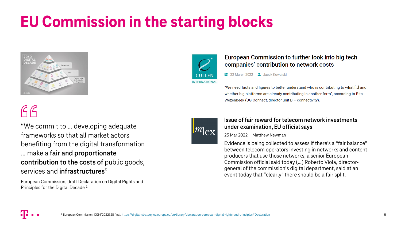# **EU Commission in the starting blocks**



# $G$  $G$

"We commit to … developing adequate frameworks so that all market actors benefiting from the digital transformation … make a **fair and proportionate contribution to the costs of** public goods, services and **infrastructures**"

European Commission, draft Declaration on Digital Rights and Principles for the Digital Decade <sup>1</sup>



# European Commission to further look into big tech companies' contribution to network costs

22 March 2022 Jacek Kowalski

"We need facts and figures to better understand who is contributing to what [...] and whether big platforms are already contributing in another form", according to Rita Wezenbeek (DG Connect, director unit B - connectivity).



# **Issue of fair reward for telecom network investments under examination, EU official says**

23 Mar 2022 | Matthew Newman

Evidence is being collected to assess if there's a "fair balance" between telecom operators investing in networks and content producers that use those networks, a senior European Commission official said today (…) Roberto Viola, directorgeneral of the commission's digital department, said at an event today that "clearly" there should be a fair split.